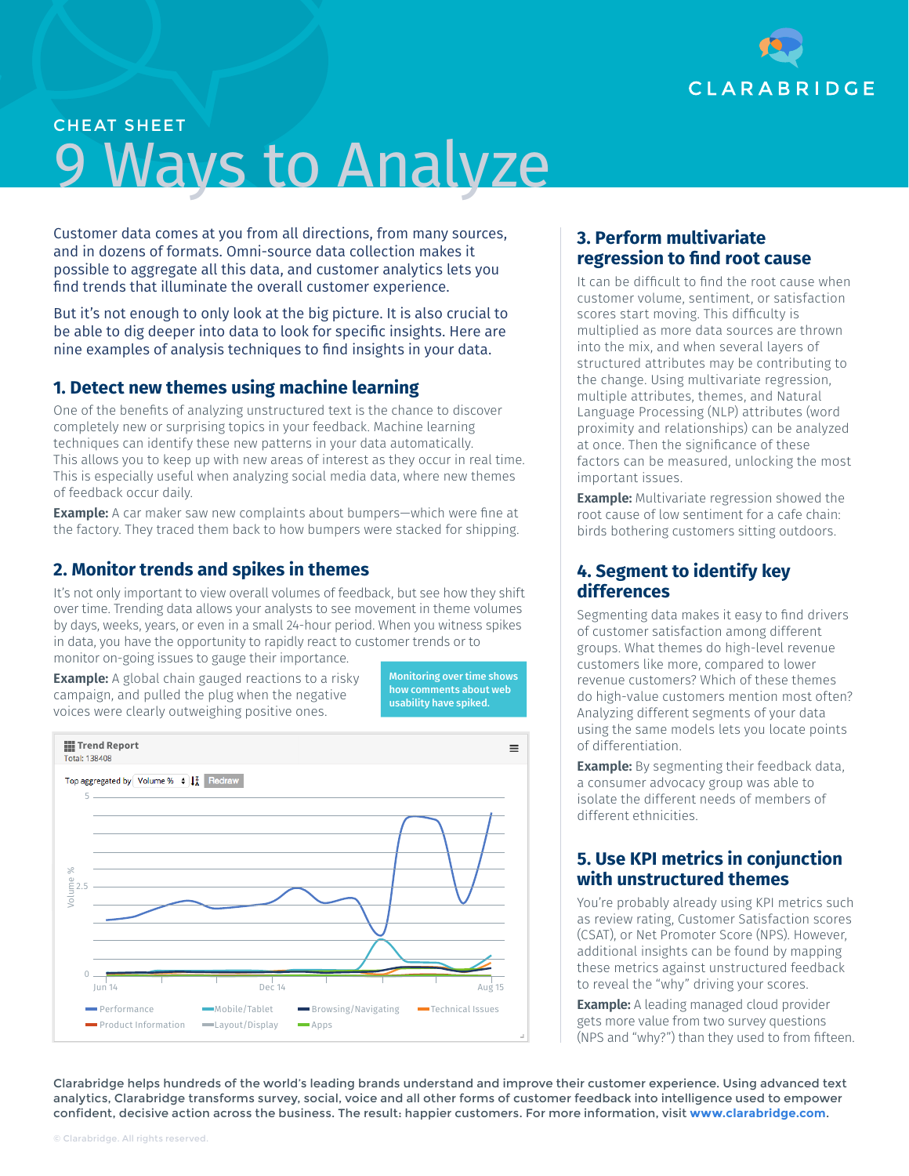

# CHEAT SHEET 9 Ways to Analyze

Customer data comes at you from all directions, from many sources, and in dozens of formats. Omni-source data collection makes it possible to aggregate all this data, and customer analytics lets you find trends that illuminate the overall customer experience.

But it's not enough to only look at the big picture. It is also crucial to be able to dig deeper into data to look for specific insights. Here are nine examples of analysis techniques to find insights in your data.

### **1. Detect new themes using machine learning**

One of the benefits of analyzing unstructured text is the chance to discover completely new or surprising topics in your feedback. Machine learning techniques can identify these new patterns in your data automatically. This allows you to keep up with new areas of interest as they occur in real time. This is especially useful when analyzing social media data, where new themes of feedback occur daily.

**Example:** A car maker saw new complaints about bumpers—which were fine at the factory. They traced them back to how bumpers were stacked for shipping.

# **2. Monitor trends and spikes in themes**

It's not only important to view overall volumes of feedback, but see how they shift over time. Trending data allows your analysts to see movement in theme volumes by days, weeks, years, or even in a small 24-hour period. When you witness spikes in data, you have the opportunity to rapidly react to customer trends or to monitor on-going issues to gauge their importance.

**Example:** A global chain gauged reactions to a risky campaign, and pulled the plug when the negative voices were clearly outweighing positive ones.

Monitoring over time shows how comments about web usability have spiked.



#### **3. Perform multivariate regression to find root cause**

It can be difficult to find the root cause when customer volume, sentiment, or satisfaction scores start moving. This difficulty is multiplied as more data sources are thrown into the mix, and when several layers of structured attributes may be contributing to the change. Using multivariate regression, multiple attributes, themes, and Natural Language Processing (NLP) attributes (word proximity and relationships) can be analyzed at once. Then the significance of these factors can be measured, unlocking the most important issues.

**Example:** Multivariate regression showed the root cause of low sentiment for a cafe chain: birds bothering customers sitting outdoors.

# **4. Segment to identify key differences**

Segmenting data makes it easy to find drivers of customer satisfaction among different groups. What themes do high-level revenue customers like more, compared to lower revenue customers? Which of these themes do high-value customers mention most often? Analyzing different segments of your data using the same models lets you locate points of differentiation.

**Example:** By segmenting their feedback data, a consumer advocacy group was able to isolate the different needs of members of different ethnicities.

# **5. Use KPI metrics in conjunction with unstructured themes**

You're probably already using KPI metrics such as review rating, Customer Satisfaction scores (CSAT), or Net Promoter Score (NPS). However, additional insights can be found by mapping these metrics against unstructured feedback to reveal the "why" driving your scores.

**Example:** A leading managed cloud provider gets more value from two survey questions (NPS and "why?") than they used to from fifteen.

Clarabridge helps hundreds of the world's leading brands understand and improve their customer experience. Using advanced text analytics, Clarabridge transforms survey, social, voice and all other forms of customer feedback into intelligence used to empower confident, decisive action across the business. The result: happier customers. For more information, visit **[www.clarabridge.com](http://www.clarabridge.com)**.